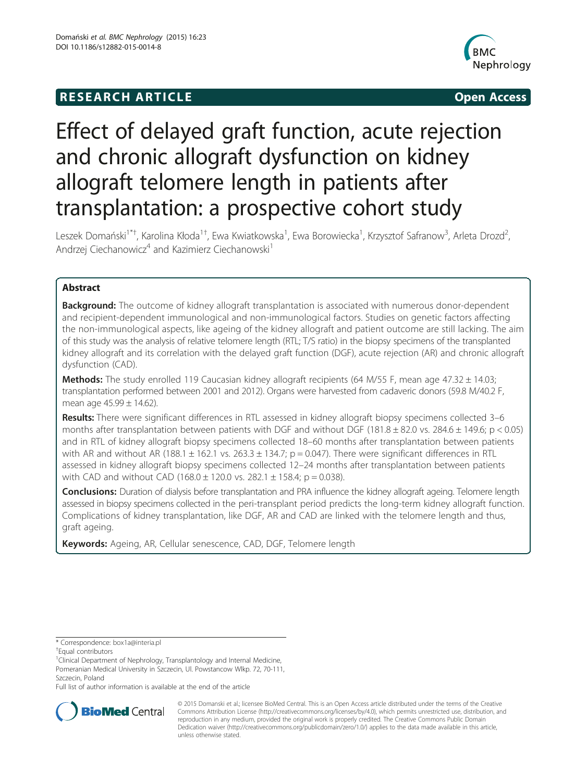# **RESEARCH ARTICLE Example 2014 12:30 The SEAR CHA RTICLE**



# Effect of delayed graft function, acute rejection and chronic allograft dysfunction on kidney allograft telomere length in patients after transplantation: a prospective cohort study

Leszek Domański<sup>1\*†</sup>, Karolina Kłoda<sup>1†</sup>, Ewa Kwiatkowska<sup>1</sup>, Ewa Borowiecka<sup>1</sup>, Krzysztof Safranow<sup>3</sup>, Arleta Drozd<sup>2</sup> , Andrzej Ciechanowicz<sup>4</sup> and Kazimierz Ciechanowski<sup>1</sup>

# Abstract

Background: The outcome of kidney allograft transplantation is associated with numerous donor-dependent and recipient-dependent immunological and non-immunological factors. Studies on genetic factors affecting the non-immunological aspects, like ageing of the kidney allograft and patient outcome are still lacking. The aim of this study was the analysis of relative telomere length (RTL; T/S ratio) in the biopsy specimens of the transplanted kidney allograft and its correlation with the delayed graft function (DGF), acute rejection (AR) and chronic allograft dysfunction (CAD).

Methods: The study enrolled 119 Caucasian kidney allograft recipients (64 M/55 F, mean age 47.32 ± 14.03; transplantation performed between 2001 and 2012). Organs were harvested from cadaveric donors (59.8 M/40.2 F, mean age  $45.99 \pm 14.62$ ).

Results: There were significant differences in RTL assessed in kidney allograft biopsy specimens collected 3–6 months after transplantation between patients with DGF and without DGF (181.8  $\pm$  82.0 vs. 284.6  $\pm$  149.6; p < 0.05) and in RTL of kidney allograft biopsy specimens collected 18–60 months after transplantation between patients with AR and without AR (188.1  $\pm$  162.1 vs. 263.3  $\pm$  134.7; p = 0.047). There were significant differences in RTL assessed in kidney allograft biopsy specimens collected 12–24 months after transplantation between patients with CAD and without CAD (168.0  $\pm$  120.0 vs. 282.1  $\pm$  158.4; p = 0.038).

**Conclusions:** Duration of dialysis before transplantation and PRA influence the kidney allograft ageing. Telomere length assessed in biopsy specimens collected in the peri-transplant period predicts the long-term kidney allograft function. Complications of kidney transplantation, like DGF, AR and CAD are linked with the telomere length and thus, graft ageing.

Keywords: Ageing, AR, Cellular senescence, CAD, DGF, Telomere length

Equal contributors

<sup>1</sup>Clinical Department of Nephrology, Transplantology and Internal Medicine, Pomeranian Medical University in Szczecin, Ul. Powstancow Wlkp. 72, 70-111, Szczecin, Poland

Full list of author information is available at the end of the article



© 2015 Domanski et al.; licensee BioMed Central. This is an Open Access article distributed under the terms of the Creative Commons Attribution License [\(http://creativecommons.org/licenses/by/4.0\)](http://creativecommons.org/licenses/by/4.0), which permits unrestricted use, distribution, and reproduction in any medium, provided the original work is properly credited. The Creative Commons Public Domain Dedication waiver [\(http://creativecommons.org/publicdomain/zero/1.0/](http://creativecommons.org/publicdomain/zero/1.0/)) applies to the data made available in this article, unless otherwise stated.

<sup>\*</sup> Correspondence: [box1a@interia.pl](mailto:box1a@interia.pl) †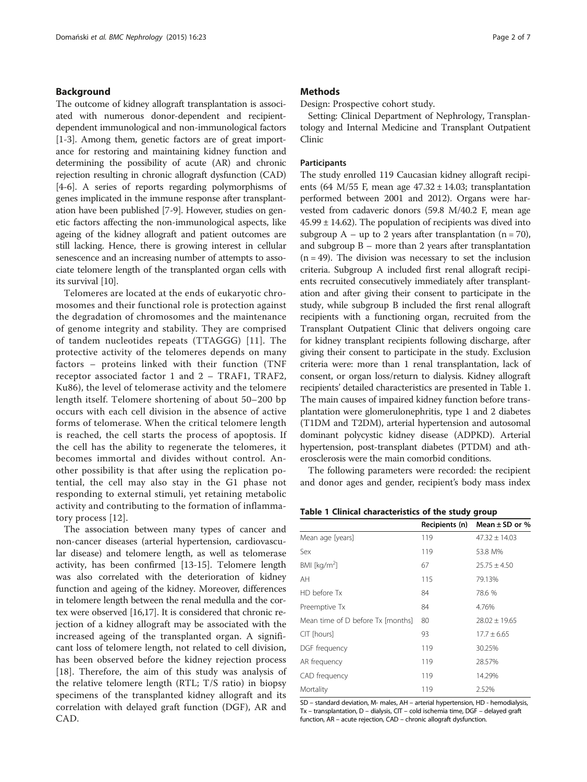# Background

The outcome of kidney allograft transplantation is associated with numerous donor-dependent and recipientdependent immunological and non-immunological factors [[1-3\]](#page-5-0). Among them, genetic factors are of great importance for restoring and maintaining kidney function and determining the possibility of acute (AR) and chronic rejection resulting in chronic allograft dysfunction (CAD) [[4-6\]](#page-5-0). A series of reports regarding polymorphisms of genes implicated in the immune response after transplantation have been published [\[7](#page-5-0)-[9\]](#page-5-0). However, studies on genetic factors affecting the non-immunological aspects, like ageing of the kidney allograft and patient outcomes are still lacking. Hence, there is growing interest in cellular senescence and an increasing number of attempts to associate telomere length of the transplanted organ cells with its survival [\[10\]](#page-5-0).

Telomeres are located at the ends of eukaryotic chromosomes and their functional role is protection against the degradation of chromosomes and the maintenance of genome integrity and stability. They are comprised of tandem nucleotides repeats (TTAGGG) [[11](#page-5-0)]. The protective activity of the telomeres depends on many factors – proteins linked with their function (TNF receptor associated factor 1 and 2 – TRAF1, TRAF2, Ku86), the level of telomerase activity and the telomere length itself. Telomere shortening of about 50–200 bp occurs with each cell division in the absence of active forms of telomerase. When the critical telomere length is reached, the cell starts the process of apoptosis. If the cell has the ability to regenerate the telomeres, it becomes immortal and divides without control. Another possibility is that after using the replication potential, the cell may also stay in the G1 phase not responding to external stimuli, yet retaining metabolic activity and contributing to the formation of inflammatory process [[12](#page-5-0)].

The association between many types of cancer and non-cancer diseases (arterial hypertension, cardiovascular disease) and telomere length, as well as telomerase activity, has been confirmed [[13-](#page-5-0)[15\]](#page-6-0). Telomere length was also correlated with the deterioration of kidney function and ageing of the kidney. Moreover, differences in telomere length between the renal medulla and the cortex were observed [[16,17](#page-6-0)]. It is considered that chronic rejection of a kidney allograft may be associated with the increased ageing of the transplanted organ. A significant loss of telomere length, not related to cell division, has been observed before the kidney rejection process [[18\]](#page-6-0). Therefore, the aim of this study was analysis of the relative telomere length (RTL; T/S ratio) in biopsy specimens of the transplanted kidney allograft and its correlation with delayed graft function (DGF), AR and CAD.

# **Methods**

Design: Prospective cohort study.

Setting: Clinical Department of Nephrology, Transplantology and Internal Medicine and Transplant Outpatient Clinic

# **Participants**

The study enrolled 119 Caucasian kidney allograft recipients (64 M/55 F, mean age  $47.32 \pm 14.03$ ; transplantation performed between 2001 and 2012). Organs were harvested from cadaveric donors (59.8 M/40.2 F, mean age  $45.99 \pm 14.62$ ). The population of recipients was dived into subgroup A – up to 2 years after transplantation  $(n = 70)$ , and subgroup  $B$  – more than 2 years after transplantation  $(n = 49)$ . The division was necessary to set the inclusion criteria. Subgroup A included first renal allograft recipients recruited consecutively immediately after transplantation and after giving their consent to participate in the study, while subgroup B included the first renal allograft recipients with a functioning organ, recruited from the Transplant Outpatient Clinic that delivers ongoing care for kidney transplant recipients following discharge, after giving their consent to participate in the study. Exclusion criteria were: more than 1 renal transplantation, lack of consent, or organ loss/return to dialysis. Kidney allograft recipients' detailed characteristics are presented in Table 1. The main causes of impaired kidney function before transplantation were glomerulonephritis, type 1 and 2 diabetes (T1DM and T2DM), arterial hypertension and autosomal dominant polycystic kidney disease (ADPKD). Arterial hypertension, post-transplant diabetes (PTDM) and atherosclerosis were the main comorbid conditions.

The following parameters were recorded: the recipient and donor ages and gender, recipient's body mass index

|  | Table 1 Clinical characteristics of the study group |  |  |  |
|--|-----------------------------------------------------|--|--|--|
|--|-----------------------------------------------------|--|--|--|

|                                   | Recipients (n) | Mean $\pm$ SD or % |
|-----------------------------------|----------------|--------------------|
| Mean age [years]                  | 119            | $47.32 \pm 14.03$  |
| Sex                               | 119            | 53.8 M%            |
| BMI $[kq/m2]$                     | 67             | $25.75 \pm 4.50$   |
| AH                                | 115            | 79.13%             |
| HD before Tx                      | 84             | 78.6 %             |
| Preemptive Tx                     | 84             | 4.76%              |
| Mean time of D before Tx Imonthsl | 80             | $28.02 \pm 19.65$  |
| CIT [hours]                       | 93             | $17.7 \pm 6.65$    |
| DGF frequency                     | 119            | 30.25%             |
| AR frequency                      | 119            | 28.57%             |
| CAD frequency                     | 119            | 14.29%             |
| Mortality                         | 119            | 2.52%              |

SD – standard deviation, M- males, AH – arterial hypertension, HD - hemodialysis, Tx – transplantation, D – dialysis, CIT – cold ischemia time, DGF – delayed graft function, AR – acute rejection, CAD – chronic allograft dysfunction.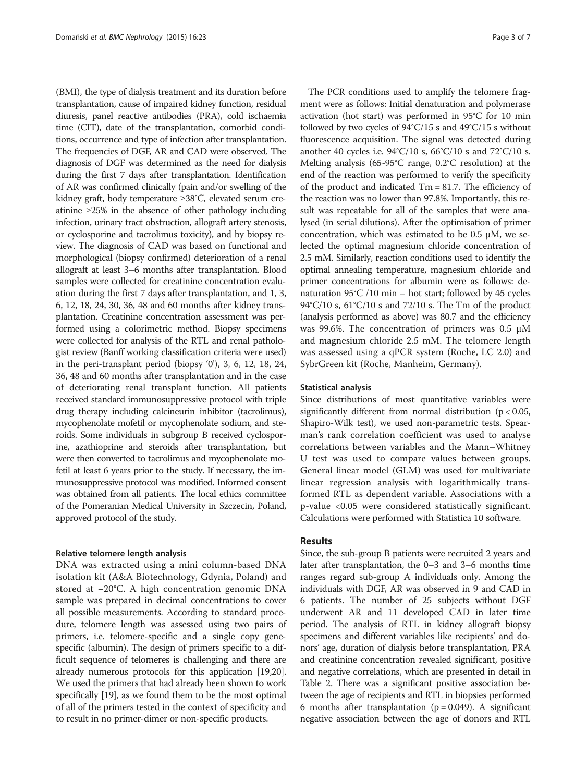(BMI), the type of dialysis treatment and its duration before transplantation, cause of impaired kidney function, residual diuresis, panel reactive antibodies (PRA), cold ischaemia time (CIT), date of the transplantation, comorbid conditions, occurrence and type of infection after transplantation. The frequencies of DGF, AR and CAD were observed. The diagnosis of DGF was determined as the need for dialysis during the first 7 days after transplantation. Identification of AR was confirmed clinically (pain and/or swelling of the kidney graft, body temperature ≥38°C, elevated serum creatinine ≥25% in the absence of other pathology including infection, urinary tract obstruction, allograft artery stenosis, or cyclosporine and tacrolimus toxicity), and by biopsy review. The diagnosis of CAD was based on functional and morphological (biopsy confirmed) deterioration of a renal allograft at least 3–6 months after transplantation. Blood samples were collected for creatinine concentration evaluation during the first 7 days after transplantation, and 1, 3, 6, 12, 18, 24, 30, 36, 48 and 60 months after kidney transplantation. Creatinine concentration assessment was performed using a colorimetric method. Biopsy specimens were collected for analysis of the RTL and renal pathologist review (Banff working classification criteria were used) in the peri-transplant period (biopsy '0'), 3, 6, 12, 18, 24, 36, 48 and 60 months after transplantation and in the case of deteriorating renal transplant function. All patients received standard immunosuppressive protocol with triple drug therapy including calcineurin inhibitor (tacrolimus), mycophenolate mofetil or mycophenolate sodium, and steroids. Some individuals in subgroup B received cyclosporine, azathioprine and steroids after transplantation, but were then converted to tacrolimus and mycophenolate mofetil at least 6 years prior to the study. If necessary, the immunosuppressive protocol was modified. Informed consent was obtained from all patients. The local ethics committee of the Pomeranian Medical University in Szczecin, Poland, approved protocol of the study.

#### Relative telomere length analysis

DNA was extracted using a mini column-based DNA isolation kit (A&A Biotechnology, Gdynia, Poland) and stored at −20°C. A high concentration genomic DNA sample was prepared in decimal concentrations to cover all possible measurements. According to standard procedure, telomere length was assessed using two pairs of primers, i.e. telomere-specific and a single copy genespecific (albumin). The design of primers specific to a difficult sequence of telomeres is challenging and there are already numerous protocols for this application [\[19,20](#page-6-0)]. We used the primers that had already been shown to work specifically [[19](#page-6-0)], as we found them to be the most optimal of all of the primers tested in the context of specificity and to result in no primer-dimer or non-specific products.

The PCR conditions used to amplify the telomere fragment were as follows: Initial denaturation and polymerase activation (hot start) was performed in 95°C for 10 min followed by two cycles of 94°C/15 s and 49°C/15 s without fluorescence acquisition. The signal was detected during another 40 cycles i.e. 94°C/10 s, 66°C/10 s and 72°C/10 s. Melting analysis (65-95°C range, 0.2°C resolution) at the end of the reaction was performed to verify the specificity of the product and indicated  $Tm = 81.7$ . The efficiency of the reaction was no lower than 97.8%. Importantly, this result was repeatable for all of the samples that were analysed (in serial dilutions). After the optimisation of primer concentration, which was estimated to be 0.5 μM, we selected the optimal magnesium chloride concentration of 2.5 mM. Similarly, reaction conditions used to identify the optimal annealing temperature, magnesium chloride and primer concentrations for albumin were as follows: denaturation 95°C /10 min – hot start; followed by 45 cycles 94°C/10 s, 61°C/10 s and 72/10 s. The Tm of the product (analysis performed as above) was 80.7 and the efficiency was 99.6%. The concentration of primers was 0.5 μM and magnesium chloride 2.5 mM. The telomere length was assessed using a qPCR system (Roche, LC 2.0) and SybrGreen kit (Roche, Manheim, Germany).

# Statistical analysis

Since distributions of most quantitative variables were significantly different from normal distribution ( $p < 0.05$ , Shapiro-Wilk test), we used non-parametric tests. Spearman's rank correlation coefficient was used to analyse correlations between variables and the Mann–Whitney U test was used to compare values between groups. General linear model (GLM) was used for multivariate linear regression analysis with logarithmically transformed RTL as dependent variable. Associations with a p-value <0.05 were considered statistically significant. Calculations were performed with Statistica 10 software.

# Results

Since, the sub-group B patients were recruited 2 years and later after transplantation, the 0–3 and 3–6 months time ranges regard sub-group A individuals only. Among the individuals with DGF, AR was observed in 9 and CAD in 6 patients. The number of 25 subjects without DGF underwent AR and 11 developed CAD in later time period. The analysis of RTL in kidney allograft biopsy specimens and different variables like recipients' and donors' age, duration of dialysis before transplantation, PRA and creatinine concentration revealed significant, positive and negative correlations, which are presented in detail in Table [2](#page-3-0). There was a significant positive association between the age of recipients and RTL in biopsies performed 6 months after transplantation ( $p = 0.049$ ). A significant negative association between the age of donors and RTL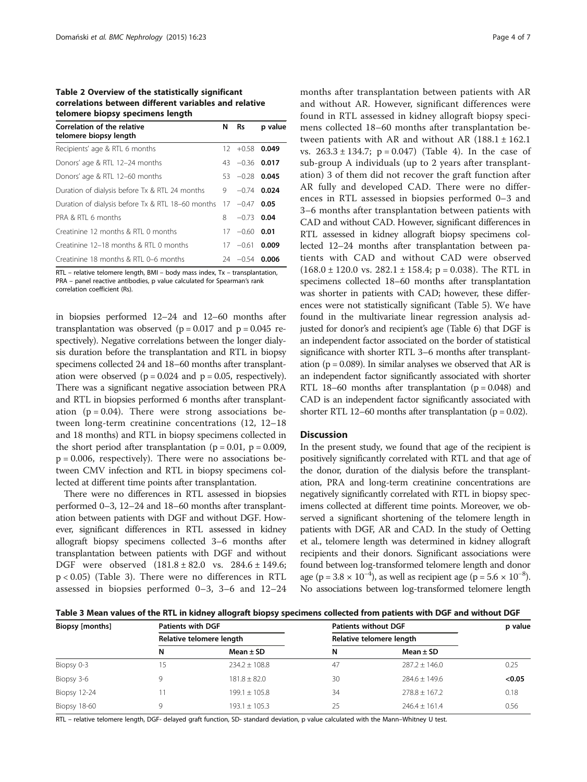<span id="page-3-0"></span>Table 2 Overview of the statistically significant correlations between different variables and relative telomere biopsy specimens length

| Correlation of the relative<br>telomere biopsy length | N | <b>Rs</b>         | p value |
|-------------------------------------------------------|---|-------------------|---------|
| Recipients' age & RTL 6 months                        |   | $12 + 0.58$ 0.049 |         |
| Donors' age & RTL 12-24 months                        |   | 43 $-0.36$ 0.017  |         |
| Donors' age & RTL 12-60 months                        |   | $53 - 0.28$       | 0.045   |
| Duration of dialysis before Tx & RTL 24 months        |   | $9 -0.74$ 0.024   |         |
| Duration of dialysis before Tx & RTL 18-60 months     |   | $17 - 0.47$       | 0.05    |
| PRA & RTL 6 months                                    | 8 | $-0.73$ 0.04      |         |
| Creatinine 12 months & RTL 0 months                   |   | $17 - 0.60$       | 0.01    |
| Creatinine 12–18 months & RTL 0 months                |   | $17 - 0.61$       | 0.009   |
| Creatinine 18 months & RTL 0-6 months                 |   | $24 - 0.54$       | 0.006   |

RTL – relative telomere length, BMI – body mass index, Tx – transplantation, PRA – panel reactive antibodies, p value calculated for Spearman's rank correlation coefficient (Rs).

in biopsies performed 12–24 and 12–60 months after transplantation was observed ( $p = 0.017$  and  $p = 0.045$  respectively). Negative correlations between the longer dialysis duration before the transplantation and RTL in biopsy specimens collected 24 and 18–60 months after transplantation were observed ( $p = 0.024$  and  $p = 0.05$ , respectively). There was a significant negative association between PRA and RTL in biopsies performed 6 months after transplantation  $(p = 0.04)$ . There were strong associations between long-term creatinine concentrations (12, 12–18 and 18 months) and RTL in biopsy specimens collected in the short period after transplantation ( $p = 0.01$ ,  $p = 0.009$ ,  $p = 0.006$ , respectively). There were no associations between CMV infection and RTL in biopsy specimens collected at different time points after transplantation.

There were no differences in RTL assessed in biopsies performed 0–3, 12–24 and 18–60 months after transplantation between patients with DGF and without DGF. However, significant differences in RTL assessed in kidney allograft biopsy specimens collected 3–6 months after transplantation between patients with DGF and without DGF were observed (181.8 ± 82.0 vs. 284.6 ± 149.6; p < 0.05) (Table 3). There were no differences in RTL assessed in biopsies performed 0–3, 3–6 and 12–24 months after transplantation between patients with AR and without AR. However, significant differences were found in RTL assessed in kidney allograft biopsy specimens collected 18–60 months after transplantation between patients with AR and without AR  $(188.1 \pm 162.1)$ vs.  $263.3 \pm 134.7$ ; p = 0.047) (Table [4](#page-4-0)). In the case of sub-group A individuals (up to 2 years after transplantation) 3 of them did not recover the graft function after AR fully and developed CAD. There were no differences in RTL assessed in biopsies performed 0–3 and 3–6 months after transplantation between patients with CAD and without CAD. However, significant differences in RTL assessed in kidney allograft biopsy specimens collected 12–24 months after transplantation between patients with CAD and without CAD were observed  $(168.0 \pm 120.0 \text{ vs. } 282.1 \pm 158.4; \text{ p} = 0.038)$ . The RTL in specimens collected 18–60 months after transplantation was shorter in patients with CAD; however, these differences were not statistically significant (Table [5](#page-4-0)). We have found in the multivariate linear regression analysis adjusted for donor's and recipient's age (Table [6](#page-5-0)) that DGF is an independent factor associated on the border of statistical significance with shorter RTL 3–6 months after transplantation ( $p = 0.089$ ). In similar analyses we observed that AR is an independent factor significantly associated with shorter RTL 18–60 months after transplantation  $(p = 0.048)$  and CAD is an independent factor significantly associated with shorter RTL 12–60 months after transplantation ( $p = 0.02$ ).

### **Discussion**

In the present study, we found that age of the recipient is positively significantly correlated with RTL and that age of the donor, duration of the dialysis before the transplantation, PRA and long-term creatinine concentrations are negatively significantly correlated with RTL in biopsy specimens collected at different time points. Moreover, we observed a significant shortening of the telomere length in patients with DGF, AR and CAD. In the study of Oetting et al., telomere length was determined in kidney allograft recipients and their donors. Significant associations were found between log-transformed telomere length and donor age (p =  $3.8 \times 10^{-4}$ ), as well as recipient age (p =  $5.6 \times 10^{-8}$ ). No associations between log-transformed telomere length

Table 3 Mean values of the RTL in kidney allograft biopsy specimens collected from patients with DGF and without DGF

| Biopsy [months] | <b>Patients with DGF</b> |                          | <b>Patients without DGF</b> |                          | p value |
|-----------------|--------------------------|--------------------------|-----------------------------|--------------------------|---------|
|                 |                          | Relative telomere length |                             | Relative telomere length |         |
|                 | N                        | Mean $\pm$ SD            | N                           | Mean $\pm$ SD            |         |
| Biopsy 0-3      | 5                        | $234.2 \pm 108.8$        | 47                          | $787.2 + 146.0$          | 0.25    |
| Biopsy 3-6      | 9                        | $181.8 \pm 82.0$         | 30                          | $784.6 + 149.6$          | < 0.05  |
| Biopsy 12-24    |                          | $199.1 \pm 105.8$        | 34                          | $778.8 + 167.2$          | 0.18    |
| Biopsy 18-60    | 9                        | $193.1 \pm 105.3$        | 25                          | $746.4 + 161.4$          | 0.56    |

RTL – relative telomere length, DGF- delayed graft function, SD- standard deviation, p value calculated with the Mann–Whitney U test.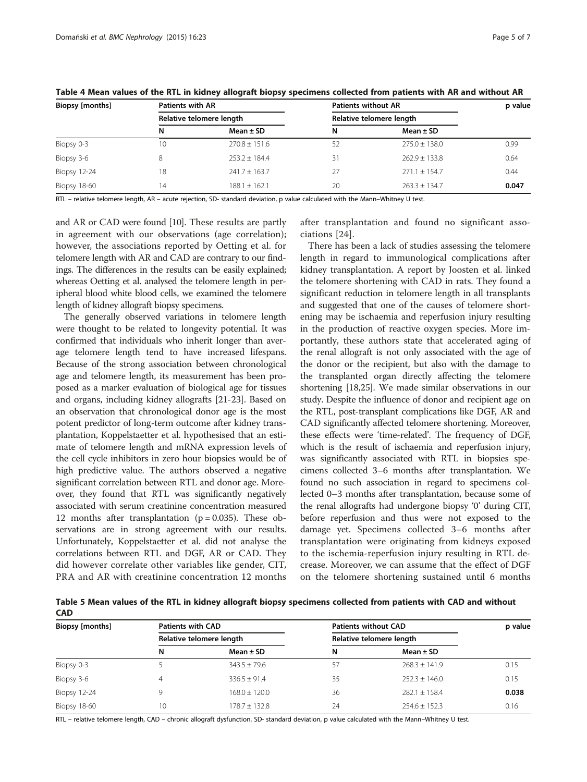| Biopsy [months]     | <b>Patients with AR</b> |                          | <b>Patients without AR</b><br>Relative telomere length |                   | p value |
|---------------------|-------------------------|--------------------------|--------------------------------------------------------|-------------------|---------|
|                     |                         | Relative telomere length |                                                        |                   |         |
|                     | N                       | Mean $\pm$ SD            | N                                                      | Mean $\pm$ SD     |         |
| Biopsy 0-3          | 10                      | $270.8 \pm 151.6$        | 52                                                     | $275.0 \pm 138.0$ | 0.99    |
| Biopsy 3-6          | 8                       | $253.2 + 184.4$          | 31                                                     | $262.9 + 133.8$   | 0.64    |
| <b>Biopsy 12-24</b> | 18                      | $241.7 \pm 163.7$        | 27                                                     | $271.1 \pm 154.7$ | 0.44    |
| Biopsy 18-60        | 14                      | $188.1 + 162.1$          | 20                                                     | $263.3 \pm 134.7$ | 0.047   |

<span id="page-4-0"></span>Table 4 Mean values of the RTL in kidney allograft biopsy specimens collected from patients with AR and without AR

RTL – relative telomere length, AR – acute rejection, SD- standard deviation, p value calculated with the Mann–Whitney U test.

and AR or CAD were found [[10\]](#page-5-0). These results are partly in agreement with our observations (age correlation); however, the associations reported by Oetting et al. for telomere length with AR and CAD are contrary to our findings. The differences in the results can be easily explained; whereas Oetting et al. analysed the telomere length in peripheral blood white blood cells, we examined the telomere length of kidney allograft biopsy specimens.

The generally observed variations in telomere length were thought to be related to longevity potential. It was confirmed that individuals who inherit longer than average telomere length tend to have increased lifespans. Because of the strong association between chronological age and telomere length, its measurement has been proposed as a marker evaluation of biological age for tissues and organs, including kidney allografts [[21](#page-6-0)-[23](#page-6-0)]. Based on an observation that chronological donor age is the most potent predictor of long-term outcome after kidney transplantation, Koppelstaetter et al. hypothesised that an estimate of telomere length and mRNA expression levels of the cell cycle inhibitors in zero hour biopsies would be of high predictive value. The authors observed a negative significant correlation between RTL and donor age. Moreover, they found that RTL was significantly negatively associated with serum creatinine concentration measured 12 months after transplantation ( $p = 0.035$ ). These observations are in strong agreement with our results. Unfortunately, Koppelstaetter et al. did not analyse the correlations between RTL and DGF, AR or CAD. They did however correlate other variables like gender, CIT, PRA and AR with creatinine concentration 12 months

after transplantation and found no significant associations [[24](#page-6-0)].

There has been a lack of studies assessing the telomere length in regard to immunological complications after kidney transplantation. A report by Joosten et al. linked the telomere shortening with CAD in rats. They found a significant reduction in telomere length in all transplants and suggested that one of the causes of telomere shortening may be ischaemia and reperfusion injury resulting in the production of reactive oxygen species. More importantly, these authors state that accelerated aging of the renal allograft is not only associated with the age of the donor or the recipient, but also with the damage to the transplanted organ directly affecting the telomere shortening [\[18,25\]](#page-6-0). We made similar observations in our study. Despite the influence of donor and recipient age on the RTL, post-transplant complications like DGF, AR and CAD significantly affected telomere shortening. Moreover, these effects were 'time-related'. The frequency of DGF, which is the result of ischaemia and reperfusion injury, was significantly associated with RTL in biopsies specimens collected 3–6 months after transplantation. We found no such association in regard to specimens collected 0–3 months after transplantation, because some of the renal allografts had undergone biopsy '0' during CIT, before reperfusion and thus were not exposed to the damage yet. Specimens collected 3–6 months after transplantation were originating from kidneys exposed to the ischemia-reperfusion injury resulting in RTL decrease. Moreover, we can assume that the effect of DGF on the telomere shortening sustained until 6 months

Table 5 Mean values of the RTL in kidney allograft biopsy specimens collected from patients with CAD and without **CAD** 

| Biopsy [months] | <b>Patients with CAD</b> |                          | <b>Patients without CAD</b> |                          | p value |
|-----------------|--------------------------|--------------------------|-----------------------------|--------------------------|---------|
|                 |                          | Relative telomere length |                             | Relative telomere length |         |
|                 | N                        | Mean $\pm$ SD            | N                           | Mean $\pm$ SD            |         |
| Biopsy 0-3      |                          | $343.5 \pm 79.6$         | 57                          | $768.3 + 141.9$          | 0.15    |
| Biopsy 3-6      | 4                        | $336.5 + 91.4$           | 35                          | $252.3 + 146.0$          | 0.15    |
| Biopsy 12-24    | 9                        | $168.0 \pm 120.0$        | 36                          | $282.1 \pm 158.4$        | 0.038   |
| Biopsy 18-60    | 10                       | $178.7 \pm 132.8$        | 24                          | $254.6 \pm 152.3$        | 0.16    |

RTL – relative telomere length, CAD – chronic allograft dysfunction, SD- standard deviation, p value calculated with the Mann–Whitney U test.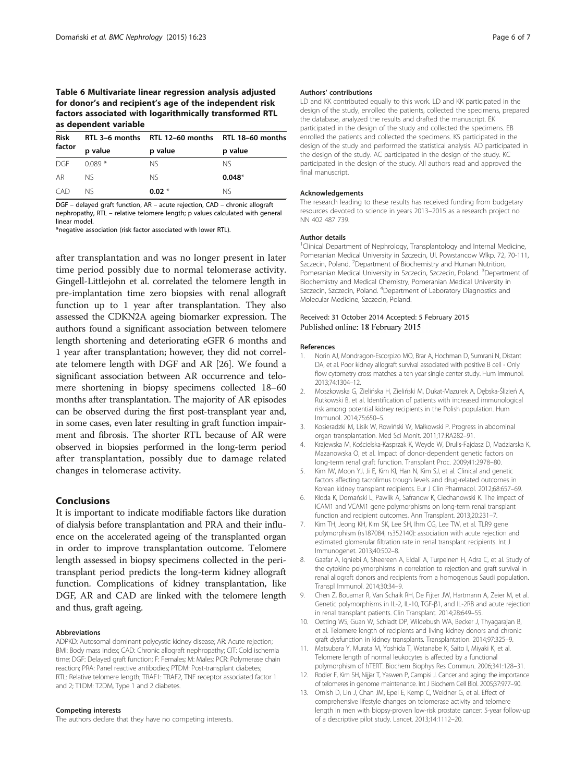# <span id="page-5-0"></span>Table 6 Multivariate linear regression analysis adjusted for donor's and recipient's age of the independent risk factors associated with logarithmically transformed RTL as dependent variable

| <b>Risk</b><br>factor |          | RTL 3-6 months RTL 12-60 months RTL 18-60 months |          |  |
|-----------------------|----------|--------------------------------------------------|----------|--|
|                       | p value  | p value                                          | p value  |  |
| DGF                   | $0.089*$ | NS.                                              | NS.      |  |
| AR                    | Nς       | Nς                                               | $0.048*$ |  |
| CAD                   | Nς       | $0.02*$                                          | ΝS       |  |

DGF – delayed graft function, AR – acute rejection, CAD – chronic allograft nephropathy, RTL – relative telomere length; p values calculated with general linear model.

\*negative association (risk factor associated with lower RTL).

after transplantation and was no longer present in later time period possibly due to normal telomerase activity. Gingell-Littlejohn et al. correlated the telomere length in pre-implantation time zero biopsies with renal allograft function up to 1 year after transplantation. They also assessed the CDKN2A ageing biomarker expression. The authors found a significant association between telomere length shortening and deteriorating eGFR 6 months and 1 year after transplantation; however, they did not correlate telomere length with DGF and AR [\[26\]](#page-6-0). We found a significant association between AR occurrence and telomere shortening in biopsy specimens collected 18–60 months after transplantation. The majority of AR episodes can be observed during the first post-transplant year and, in some cases, even later resulting in graft function impairment and fibrosis. The shorter RTL because of AR were observed in biopsies performed in the long-term period after transplantation, possibly due to damage related changes in telomerase activity.

# Conclusions

It is important to indicate modifiable factors like duration of dialysis before transplantation and PRA and their influence on the accelerated ageing of the transplanted organ in order to improve transplantation outcome. Telomere length assessed in biopsy specimens collected in the peritransplant period predicts the long-term kidney allograft function. Complications of kidney transplantation, like DGF, AR and CAD are linked with the telomere length and thus, graft ageing.

#### Abbreviations

ADPKD: Autosomal dominant polycystic kidney disease; AR: Acute rejection; BMI: Body mass index; CAD: Chronic allograft nephropathy; CIT: Cold ischemia time; DGF: Delayed graft function; F: Females; M: Males; PCR: Polymerase chain reaction; PRA: Panel reactive antibodies; PTDM: Post-transplant diabetes; RTL: Relative telomere length; TRAF1: TRAF2, TNF receptor associated factor 1 and 2; T1DM: T2DM, Type 1 and 2 diabetes.

#### Competing interests

The authors declare that they have no competing interests.

#### Authors' contributions

LD and KK contributed equally to this work. LD and KK participated in the design of the study, enrolled the patients, collected the specimens, prepared the database, analyzed the results and drafted the manuscript. EK participated in the design of the study and collected the specimens. EB enrolled the patients and collected the specimens. KS participated in the design of the study and performed the statistical analysis. AD participated in the design of the study. AC participated in the design of the study. KC participated in the design of the study. All authors read and approved the final manuscript.

#### Acknowledgements

The research leading to these results has received funding from budgetary resources devoted to science in years 2013–2015 as a research project no NN 402 487 739.

#### Author details

<sup>1</sup>Clinical Department of Nephrology, Transplantology and Internal Medicine, Pomeranian Medical University in Szczecin, Ul. Powstancow Wlkp. 72, 70-111, Szczecin, Poland. <sup>2</sup>Department of Biochemistry and Human Nutrition, Pomeranian Medical University in Szczecin, Szczecin, Poland. <sup>3</sup>Department of Biochemistry and Medical Chemistry, Pomeranian Medical University in Szczecin, Szczecin, Poland. <sup>4</sup>Department of Laboratory Diagnostics and Molecular Medicine, Szczecin, Poland.

#### Received: 31 October 2014 Accepted: 5 February 2015 Published online: 18 February 2015

#### References

- 1. Norin AJ, Mondragon-Escorpizo MO, Brar A, Hochman D, Sumrani N, Distant DA, et al. Poor kidney allograft survival associated with positive B cell - Only flow cytometry cross matches: a ten year single center study. Hum Immunol. 2013;74:1304–12.
- 2. Moszkowska G, Zielińska H, Zieliński M, Dukat-Mazurek A, Dębska-Ślizień A, Rutkowski B, et al. Identification of patients with increased immunological risk among potential kidney recipients in the Polish population. Hum Immunol. 2014;75:650–5.
- 3. Kosieradzki M, Lisik W, Rowiński W, Małkowski P. Progress in abdominal organ transplantation. Med Sci Monit. 2011;17:RA282–91.
- 4. Krajewska M, Kościelska-Kasprzak K, Weyde W, Drulis-Fajdasz D, Madziarska K, Mazanowska O, et al. Impact of donor-dependent genetic factors on long-term renal graft function. Transplant Proc. 2009;41:2978–80.
- 5. Kim IW, Moon YJ, Ji E, Kim KI, Han N, Kim SJ, et al. Clinical and genetic factors affecting tacrolimus trough levels and drug-related outcomes in Korean kidney transplant recipients. Eur J Clin Pharmacol. 2012;68:657–69.
- 6. Kłoda K, Domański L, Pawlik A, Safranow K, Ciechanowski K. The impact of ICAM1 and VCAM1 gene polymorphisms on long-term renal transplant function and recipient outcomes. Ann Transplant. 2013;20:231–7.
- 7. Kim TH, Jeong KH, Kim SK, Lee SH, Ihm CG, Lee TW, et al. TLR9 gene polymorphism (rs187084, rs352140): association with acute rejection and estimated glomerular filtration rate in renal transplant recipients. Int J Immunogenet. 2013;40:502–8.
- 8. Gaafar A, Iqniebi A, Sheereen A, Eldali A, Turpeinen H, Adra C, et al. Study of the cytokine polymorphisms in correlation to rejection and graft survival in renal allograft donors and recipients from a homogenous Saudi population. Transpl Immunol. 2014;30:34–9.
- 9. Chen Z, Bouamar R, Van Schaik RH, De Fijter JW, Hartmann A, Zeier M, et al. Genetic polymorphisms in IL-2, IL-10, TGF-β1, and IL-2RB and acute rejection in renal transplant patients. Clin Transplant. 2014;28:649–55.
- 10. Oetting WS, Guan W, Schladt DP, Wildebush WA, Becker J, Thyagarajan B, et al. Telomere length of recipients and living kidney donors and chronic graft dysfunction in kidney transplants. Transplantation. 2014;97:325–9.
- 11. Matsubara Y, Murata M, Yoshida T, Watanabe K, Saito I, Miyaki K, et al. Telomere length of normal leukocytes is affected by a functional polymorphism of hTERT. Biochem Biophys Res Commun. 2006;341:128–31.
- 12. Rodier F, Kim SH, Nijjar T, Yaswen P, Campisi J. Cancer and aging: the importance of telomeres in genome maintenance. Int J Biochem Cell Biol. 2005;37:977–90.
- 13. Ornish D, Lin J, Chan JM, Epel E, Kemp C, Weidner G, et al. Effect of comprehensive lifestyle changes on telomerase activity and telomere length in men with biopsy-proven low-risk prostate cancer: 5-year follow-up of a descriptive pilot study. Lancet. 2013;14:1112–20.